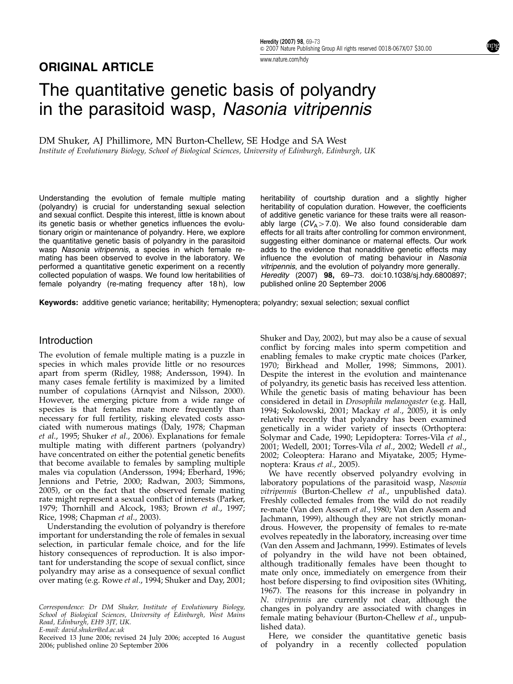# ORIGINAL ARTICLE

# The quantitative genetic basis of polyandry in the parasitoid wasp, Nasonia vitripennis

DM Shuker, AJ Phillimore, MN Burton-Chellew, SE Hodge and SA West Institute of Evolutionary Biology, School of Biological Sciences, University of Edinburgh, Edinburgh, UK

Understanding the evolution of female multiple mating (polyandry) is crucial for understanding sexual selection and sexual conflict. Despite this interest, little is known about its genetic basis or whether genetics influences the evolutionary origin or maintenance of polyandry. Here, we explore the quantitative genetic basis of polyandry in the parasitoid wasp Nasonia vitripennis, a species in which female remating has been observed to evolve in the laboratory. We performed a quantitative genetic experiment on a recently collected population of wasps. We found low heritabilities of female polyandry (re-mating frequency after 18 h), low

heritability of courtship duration and a slightly higher heritability of copulation duration. However, the coefficients of additive genetic variance for these traits were all reasonably large  $(CV_A>7.0)$ . We also found considerable dam effects for all traits after controlling for common environment, suggesting either dominance or maternal effects. Our work adds to the evidence that nonadditive genetic effects may influence the evolution of mating behaviour in Nasonia vitripennis, and the evolution of polyandry more generally. Heredity (2007) 98, 69–73. doi:10.1038/sj.hdy.6800897; published online 20 September 2006

Keywords: additive genetic variance; heritability; Hymenoptera; polyandry; sexual selection; sexual conflict

#### **Introduction**

The evolution of female multiple mating is a puzzle in species in which males provide little or no resources apart from sperm (Ridley, 1988; Andersson, 1994). In many cases female fertility is maximized by a limited number of copulations (Arnqvist and Nilsson, 2000). However, the emerging picture from a wide range of species is that females mate more frequently than necessary for full fertility, risking elevated costs associated with numerous matings (Daly, 1978; Chapman et al., 1995; Shuker et al., 2006). Explanations for female multiple mating with different partners (polyandry) have concentrated on either the potential genetic benefits that become available to females by sampling multiple males via copulation (Andersson, 1994; Eberhard, 1996; Jennions and Petrie, 2000; Radwan, 2003; Simmons, 2005), or on the fact that the observed female mating rate might represent a sexual conflict of interests (Parker, 1979; Thornhill and Alcock, 1983; Brown et al., 1997; Rice, 1998; Chapman et al., 2003).

Understanding the evolution of polyandry is therefore important for understanding the role of females in sexual selection, in particular female choice, and for the life history consequences of reproduction. It is also important for understanding the scope of sexual conflict, since polyandry may arise as a consequence of sexual conflict over mating (e.g. Rowe et al., 1994; Shuker and Day, 2001;

Correspondence: Dr DM Shuker, Institute of Evolutionary Biology, School of Biological Sciences, University of Edinburgh, West Mains Road, Edinburgh, EH9 3JT, UK.

E-mail: david.shuker@ed.ac.uk

2006; published online 20 September 2006

Shuker and Day, 2002), but may also be a cause of sexual conflict by forcing males into sperm competition and enabling females to make cryptic mate choices (Parker, 1970; Birkhead and Moller, 1998; Simmons, 2001). Despite the interest in the evolution and maintenance of polyandry, its genetic basis has received less attention. While the genetic basis of mating behaviour has been considered in detail in Drosophila melanogaster (e.g. Hall, 1994; Sokolowski, 2001; Mackay et al., 2005), it is only relatively recently that polyandry has been examined genetically in a wider variety of insects (Orthoptera: Solymar and Cade, 1990; Lepidoptera: Torres-Vila et al., 2001; Wedell, 2001; Torres-Vila et al., 2002; Wedell et al., 2002; Coleoptera: Harano and Miyatake, 2005; Hymenoptera: Kraus et al., 2005).

We have recently observed polyandry evolving in laboratory populations of the parasitoid wasp, Nasonia vitripennis (Burton-Chellew et al., unpublished data). Freshly collected females from the wild do not readily re-mate (Van den Assem et al., 1980; Van den Assem and Jachmann, 1999), although they are not strictly monandrous. However, the propensity of females to re-mate evolves repeatedly in the laboratory, increasing over time (Van den Assem and Jachmann, 1999). Estimates of levels of polyandry in the wild have not been obtained, although traditionally females have been thought to mate only once, immediately on emergence from their host before dispersing to find oviposition sites (Whiting, 1967). The reasons for this increase in polyandry in N. vitripennis are currently not clear, although the changes in polyandry are associated with changes in female mating behaviour (Burton-Chellew et al., unpublished data).

Here, we consider the quantitative genetic basis Received 13 June 2006; revised 24 July 2006; accepted 16 August — Here, we consider the quantitative genetic basis<br>2006; published online 20 September 2006 — sacepted 16 August — of polyandry in a recently collected popula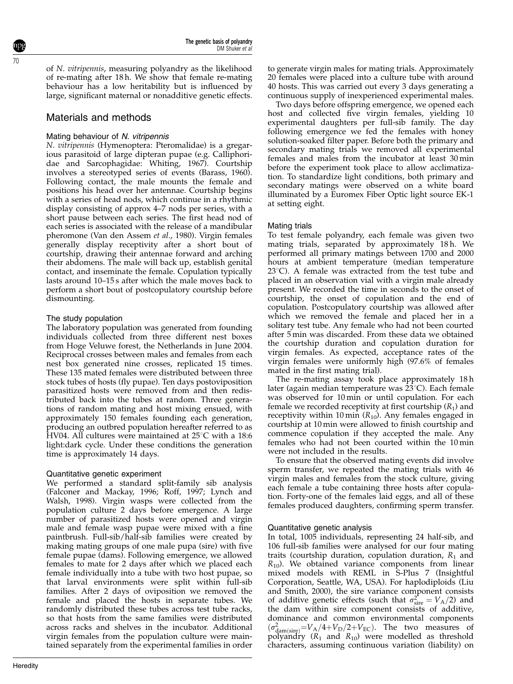of N. vitripennis, measuring polyandry as the likelihood of re-mating after 18 h. We show that female re-mating behaviour has a low heritability but is influenced by large, significant maternal or nonadditive genetic effects.

# Materials and methods

### Mating behaviour of N. vitripennis

N. vitripennis (Hymenoptera: Pteromalidae) is a gregarious parasitoid of large dipteran pupae (e.g. Calliphoridae and Sarcophagidae: Whiting, 1967). Courtship involves a stereotyped series of events (Barass, 1960). Following contact, the male mounts the female and positions his head over her antennae. Courtship begins with a series of head nods, which continue in a rhythmic display consisting of approx 4–7 nods per series, with a short pause between each series. The first head nod of each series is associated with the release of a mandibular pheromone (Van den Assem et al., 1980). Virgin females generally display receptivity after a short bout of courtship, drawing their antennae forward and arching their abdomens. The male will back up, establish genital contact, and inseminate the female. Copulation typically lasts around 10–15 s after which the male moves back to perform a short bout of postcopulatory courtship before dismounting.

## The study population

The laboratory population was generated from founding individuals collected from three different nest boxes from Hoge Veluwe forest, the Netherlands in June 2004. Reciprocal crosses between males and females from each nest box generated nine crosses, replicated 15 times. These 135 mated females were distributed between three stock tubes of hosts (fly pupae). Ten days postoviposition parasitized hosts were removed from and then redistributed back into the tubes at random. Three generations of random mating and host mixing ensued, with approximately 150 females founding each generation, producing an outbred population hereafter referred to as HV04. All cultures were maintained at  $25^{\circ}$ C with a 18:6 light:dark cycle. Under these conditions the generation time is approximately 14 days.

#### Quantitative genetic experiment

We performed a standard split-family sib analysis (Falconer and Mackay, 1996; Roff, 1997; Lynch and Walsh, 1998). Virgin wasps were collected from the population culture 2 days before emergence. A large number of parasitized hosts were opened and virgin male and female wasp pupae were mixed with a fine paintbrush. Full-sib/half-sib families were created by making mating groups of one male pupa (sire) with five female pupae (dams). Following emergence, we allowed females to mate for 2 days after which we placed each female individually into a tube with two host pupae, so that larval environments were split within full-sib families. After 2 days of oviposition we removed the female and placed the hosts in separate tubes. We randomly distributed these tubes across test tube racks, so that hosts from the same families were distributed across racks and shelves in the incubator. Additional virgin females from the population culture were maintained separately from the experimental families in order

to generate virgin males for mating trials. Approximately 20 females were placed into a culture tube with around 40 hosts. This was carried out every 3 days generating a continuous supply of inexperienced experimental males.

Two days before offspring emergence, we opened each host and collected five virgin females, yielding 10 experimental daughters per full-sib family. The day following emergence we fed the females with honey solution-soaked filter paper. Before both the primary and secondary mating trials we removed all experimental females and males from the incubator at least 30 min before the experiment took place to allow acclimatization. To standardize light conditions, both primary and secondary matings were observed on a white board illuminated by a Euromex Fiber Optic light source EK-1 at setting eight.

#### Mating trials

To test female polyandry, each female was given two mating trials, separated by approximately 18 h. We performed all primary matings between 1700 and 2000 hours at ambient temperature (median temperature  $23^{\circ}$ C). A female was extracted from the test tube and placed in an observation vial with a virgin male already present. We recorded the time in seconds to the onset of courtship, the onset of copulation and the end of copulation. Postcopulatory courtship was allowed after which we removed the female and placed her in a solitary test tube. Any female who had not been courted after 5 min was discarded. From these data we obtained the courtship duration and copulation duration for virgin females. As expected, acceptance rates of the virgin females were uniformly high (97.6% of females mated in the first mating trial).

The re-mating assay took place approximately 18 h later (again median temperature was  $23^{\circ}$ C). Each female was observed for 10 min or until copulation. For each female we recorded receptivity at first courtship  $(R_1)$  and receptivity within 10 min  $(R_{10})$ . Any females engaged in courtship at 10 min were allowed to finish courtship and commence copulation if they accepted the male. Any females who had not been courted within the 10 min were not included in the results.

To ensure that the observed mating events did involve sperm transfer, we repeated the mating trials with 46 virgin males and females from the stock culture, giving each female a tube containing three hosts after copulation. Forty-one of the females laid eggs, and all of these females produced daughters, confirming sperm transfer.

#### Quantitative genetic analysis

In total, 1005 individuals, representing 24 half-sib, and 106 full-sib families were analysed for our four mating traits (courtship duration, copulation duration,  $R_1$  and  $R_{10}$ ). We obtained variance components from linear mixed models with REML in S-Plus 7 (Insightful Corporation, Seattle, WA, USA). For haplodiploids (Liu and Smith, 2000), the sire variance component consists of additive genetic effects (such that  $\sigma_{\text{sire}}^2 = V_A/2$ ) and the dam within sire component consists of additive, dominance and common environmental components  $(\sigma_{\text{dam(sire)}}^2=V_A/4+V_D/2+V_{\text{EC}})$ . The two measures of polyandry  $(R_1$  and  $R_{10}$ ) were modelled as threshold characters, assuming continuous variation (liability) on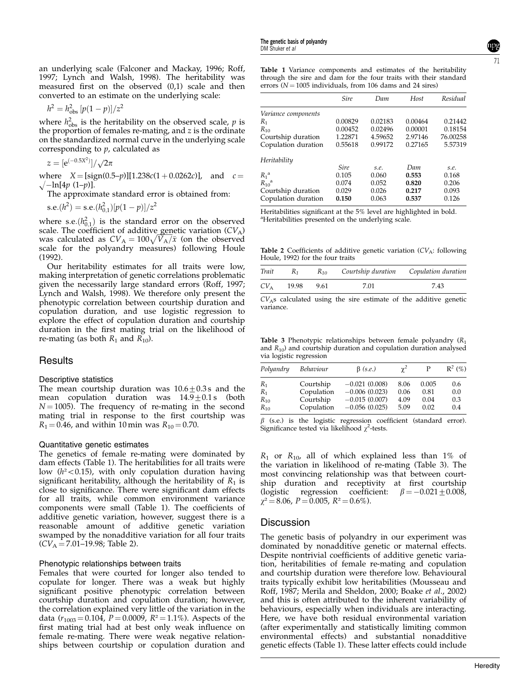an underlying scale (Falconer and Mackay, 1996; Roff, 1997; Lynch and Walsh, 1998). The heritability was measured first on the observed (0,1) scale and then converted to an estimate on the underlying scale:

$$
h^2 = h_{\rm obs}^2 [p(1-p)]/z^2
$$

where  $h_{\text{obs}}^2$  is the heritability on the observed scale, p is the proportion of females re-mating, and z is the ordinate on the standardized normal curve in the underlying scale corresponding to  $p$ , calculated as

$$
z = [e^{(-0.5X^2)}]/\sqrt{2\pi}
$$

where  $X = [sign(0.5-p)][1.238c(1 + 0.0262c)]$ , and  $c =$  $\sqrt{-\ln[4p(1-p)]}$ .

The approximate standard error is obtained from:

 $\text{s.e.}(h^2) = \text{s.e.}(h_{0,1}^2)[p(1-p)]/z^2$ 

where s.e. $(h_{0,1}^2)$  is the standard error on the observed scale. The coefficient of additive genetic variation  $(CV_A)$ scale. The coefficient of additive generic variation  $(Cv_A)$ <br>was calculated as  $CV_A = 100\sqrt{V_A/\bar{x}}$  (on the observed scale for the polyandry measures) following Houle (1992).

Our heritability estimates for all traits were low, making interpretation of genetic correlations problematic given the necessarily large standard errors (Roff, 1997; Lynch and Walsh, 1998). We therefore only present the phenotypic correlation between courtship duration and copulation duration, and use logistic regression to explore the effect of copulation duration and courtship duration in the first mating trial on the likelihood of re-mating (as both  $R_1$  and  $R_{10}$ ).

## **Results**

#### Descriptive statistics

The mean courtship duration was  $10.6\pm0.3$  s and the mean copulation duration was  $14.9 \pm 0.1$  s (both  $N = 1005$ ). The frequency of re-mating in the second mating trial in response to the first courtship was  $R_1 = 0.46$ , and within 10 min was  $R_{10} = 0.70$ .

#### Quantitative genetic estimates

The genetics of female re-mating were dominated by dam effects (Table 1). The heritabilities for all traits were low  $(h^2<0.15)$ , with only copulation duration having significant heritability, although the heritability of  $R_1$  is close to significance. There were significant dam effects for all traits, while common environment variance components were small (Table 1). The coefficients of additive genetic variation, however, suggest there is a reasonable amount of additive genetic variation swamped by the nonadditive variation for all four traits  $(CV_A = 7.01 - 19.98;$  Table 2).

#### Phenotypic relationships between traits

Females that were courted for longer also tended to copulate for longer. There was a weak but highly significant positive phenotypic correlation between courtship duration and copulation duration; however, the correlation explained very little of the variation in the data  $(r_{1003} = 0.104, P = 0.0009, R^2 = 1.1\%)$ . Aspects of the first mating trial had at best only weak influence on female re-mating. There were weak negative relationships between courtship or copulation duration and Table 1 Variance components and estimates of the heritability through the sire and dam for the four traits with their standard errors ( $N = 1005$  individuals, from 106 dams and 24 sires)

|                       | <b>Sire</b> | Dam     | Host    | Residual |
|-----------------------|-------------|---------|---------|----------|
| Variance components   |             |         |         |          |
| $R_{1}$               | 0.00829     | 0.02183 | 0.00464 | 0.21442  |
| $R_{10}$              | 0.00452     | 0.02496 | 0.00001 | 0.18154  |
| Courtship duration    | 1.22871     | 4.59652 | 2.97146 | 76.00258 |
| Copulation duration   | 0.55618     | 0.99172 | 0.27165 | 5.57319  |
| Heritability          |             |         |         |          |
|                       | <b>Sire</b> | s.e.    | Dam     | s.e.     |
| $R_1^{\text{a}}$      | 0.105       | 0.060   | 0.553   | 0.168    |
| $R_{10}$ <sup>a</sup> | 0.074       | 0.052   | 0.820   | 0.206    |
| Courtship duration    | 0.029       | 0.026   | 0.217   | 0.093    |
| Copulation duration   | 0.150       | 0.063   | 0.537   | 0.126    |

Heritabilities significant at the 5% level are highlighted in bold. <sup>a</sup>Heritabilities presented on the underlying scale.

Table 2 Coefficients of additive genetic variation  $(CV_A:$  following Houle, 1992) for the four traits

| Trait         | $R_1$      | $R_{10}$ Courtship duration Copulation duration |      |
|---------------|------------|-------------------------------------------------|------|
| $CV_{\Delta}$ | 19.98 9.61 | 7.01                                            | 7.43 |

 $CV<sub>A</sub>s$  calculated using the sire estimate of the additive genetic variance.

Table 3 Phenotypic relationships between female polyandry  $(R_1)$ and  $R_{10}$ ) and courtship duration and copulation duration analysed via logistic regression

| Polyandry | Behaviour  | $\beta$ (s.e.)  | $\gamma^2$ | Р     | $\mathbb{R}^2$ (%) |
|-----------|------------|-----------------|------------|-------|--------------------|
| $R_1$     | Courtship  | $-0.021(0.008)$ | 8.06       | 0.005 | 0.6                |
| $R_1$     | Copulation | $-0.006(0.023)$ | 0.06       | 0.81  | 0.0                |
| $R_{10}$  | Courtship  | $-0.015(0.007)$ | 4.09       | 0.04  | 0.3                |
| $R_{10}$  | Copulation | $-0.056(0.025)$ | 5.09       | 0.02  | 0.4                |

 $\beta$  (s.e.) is the logistic regression coefficient (standard error). Significance tested via likelihood  $\chi^2$ -tests.

 $R_1$  or  $R_{10}$ , all of which explained less than 1% of the variation in likelihood of re-mating (Table 3). The most convincing relationship was that between courtship duration and receptivity at first courtship (logistic regression coefficient:  $\beta = -0.021 \pm 0.008$ ,  $\gamma^2 = 8.06$ ,  $P = 0.005$ ,  $R^2 = 0.6\%$ ).

#### **Discussion**

The genetic basis of polyandry in our experiment was dominated by nonadditive genetic or maternal effects. Despite nontrivial coefficients of additive genetic variation, heritabilities of female re-mating and copulation and courtship duration were therefore low. Behavioural traits typically exhibit low heritabilities (Mousseau and Roff, 1987; Merila and Sheldon, 2000; Boake et al., 2002) and this is often attributed to the inherent variability of behaviours, especially when individuals are interacting. Here, we have both residual environmental variation (after experimentally and statistically limiting common environmental effects) and substantial nonadditive genetic effects (Table 1). These latter effects could include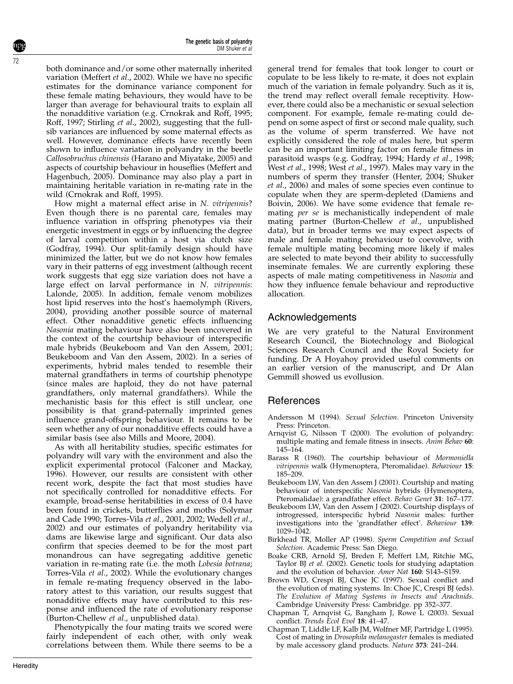The genetic basis of polyandry DM Shuker et al

both dominance and/or some other maternally inherited variation (Meffert et al., 2002). While we have no specific estimates for the dominance variance component for these female mating behaviours, they would have to be larger than average for behavioural traits to explain all the nonadditive variation (e.g. Crnokrak and Roff, 1995; Roff, 1997; Stirling et al., 2002), suggesting that the fullsib variances are influenced by some maternal effects as well. However, dominance effects have recently been shown to influence variation in polyandry in the beetle Callosobruchus chinensis (Harano and Miyatake, 2005) and aspects of courtship behaviour in houseflies (Meffert and Hagenbuch, 2005). Dominance may also play a part in maintaining heritable variation in re-mating rate in the wild (Crnokrak and Roff, 1995).

How might a maternal effect arise in N. vitripennis? Even though there is no parental care, females may influence variation in offspring phenotypes via their energetic investment in eggs or by influencing the degree of larval competition within a host via clutch size (Godfray, 1994). Our split-family design should have minimized the latter, but we do not know how females vary in their patterns of egg investment (although recent work suggests that egg size variation does not have a large effect on larval performance in N. vitripennis: Lalonde, 2005). In addition, female venom mobilizes host lipid reserves into the host's haemolymph (Rivers, 2004), providing another possible source of maternal effect. Other nonadditive genetic effects influencing Nasonia mating behaviour have also been uncovered in the context of the courtship behaviour of interspecific male hybrids (Beukeboom and Van den Assem, 2001; Beukeboom and Van den Assem, 2002). In a series of experiments, hybrid males tended to resemble their maternal grandfathers in terms of courtship phenotype (since males are haploid, they do not have paternal grandfathers, only maternal grandfathers). While the mechanistic basis for this effect is still unclear, one possibility is that grand-paternally imprinted genes influence grand-offspring behaviour. It remains to be seen whether any of our nonadditive effects could have a similar basis (see also Mills and Moore, 2004).

As with all heritability studies, specific estimates for polyandry will vary with the environment and also the explicit experimental protocol (Falconer and Mackay, 1996). However, our results are consistent with other recent work, despite the fact that most studies have not specifically controlled for nonadditive effects. For example, broad-sense heritabilities in excess of 0.4 have been found in crickets, butterflies and moths (Solymar and Cade 1990; Torres-Vila et al., 2001, 2002; Wedell et al., 2002) and our estimates of polyandry heritability via dams are likewise large and significant. Our data also confirm that species deemed to be for the most part monandrous can have segregating additive genetic variation in re-mating rate (i.e. the moth Lobesia botrana; Torres-Vila et al., 2002). While the evolutionary changes in female re-mating frequency observed in the laboratory attest to this variation, our results suggest that nonadditive effects may have contributed to this response and influenced the rate of evolutionary response (Burton-Chellew et al., unpublished data).

Phenotypically the four mating traits we scored were fairly independent of each other, with only weak correlations between them. While there seems to be a

general trend for females that took longer to court or copulate to be less likely to re-mate, it does not explain much of the variation in female polyandry. Such as it is, the trend may reflect overall female receptivity. However, there could also be a mechanistic or sexual selection component. For example, female re-mating could depend on some aspect of first or second male quality, such as the volume of sperm transferred. We have not explicitly considered the role of males here, but sperm can be an important limiting factor on female fitness in parasitoid wasps (e.g. Godfray, 1994; Hardy et al., 1998; West et al., 1998; West et al., 1997). Males may vary in the numbers of sperm they transfer (Henter, 2004; Shuker et al., 2006) and males of some species even continue to copulate when they are sperm-depleted (Damiens and Boivin, 2006). We have some evidence that female remating per se is mechanistically independent of male mating partner (Burton-Chellew et al., unpublished data), but in broader terms we may expect aspects of male and female mating behaviour to coevolve, with female multiple mating becoming more likely if males are selected to mate beyond their ability to successfully inseminate females. We are currently exploring these aspects of male mating competitiveness in Nasonia and how they influence female behaviour and reproductive allocation.

# Acknowledgements

We are very grateful to the Natural Environment Research Council, the Biotechnology and Biological Sciences Research Council and the Royal Society for funding. Dr A Hoyahoy provided useful comments on an earlier version of the manuscript, and Dr Alan Gemmill showed us evollusion.

## References

- Andersson M (1994). Sexual Selection. Princeton University Press: Princeton.
- Arnqvist G, Nilsson T (2000). The evolution of polyandry: multiple mating and female fitness in insects. Anim Behav 60: 145–164.
- Barass R (1960). The courtship behaviour of Mormoniella vitripennis walk (Hymenoptera, Pteromalidae). Behaviour 15: 185–209.
- Beukeboom LW, Van den Assem J (2001). Courtship and mating behaviour of interspecific Nasonia hybrids (Hymenoptera, Pteromalidae): a grandfather effect. Behav Genet 31: 167-177.
- Beukeboom LW, Van den Assem J (2002). Courtship displays of introgressed, interspecific hybrid Nasonia males: further investigations into the 'grandfather effect'. Behaviour 139: 1029–1042.
- Birkhead TR, Moller AP (1998). Sperm Competition and Sexual Selection. Academic Press: San Diego.
- Boake CRB, Arnold SJ, Breden F, Meffert LM, Ritchie MG, Taylor BJ et al. (2002). Genetic tools for studying adaptation and the evolution of behavior. Amer Nat 160: S143–S159.
- Brown WD, Crespi BJ, Choe JC (1997). Sexual conflict and the evolution of mating systems. In: Choe JC, Crespi BJ (eds). The Evolution of Mating Systems in Insects and Arachnids. Cambridge University Press: Cambridge. pp 352-377.
- Chapman T, Arnqvist G, Bangham J, Rowe L (2003). Sexual conflict. Trends Ecol Evol 18: 41–47.
- Chapman T, Liddle LF, Kalb JM, Wolfner MF, Partridge L (1995). Cost of mating in Drosophila melanogaster females is mediated by male accessory gland products. Nature 373: 241–244.

72